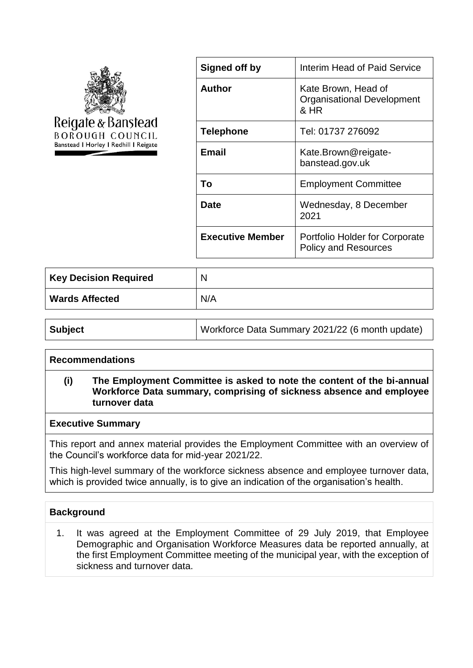

| Signed off by           | <b>Interim Head of Paid Service</b>                                  |
|-------------------------|----------------------------------------------------------------------|
| <b>Author</b>           | Kate Brown, Head of<br><b>Organisational Development</b><br>& HR     |
| <b>Telephone</b>        | Tel: 01737 276092                                                    |
| Email                   | Kate.Brown@reigate-<br>banstead.gov.uk                               |
| Тο                      | <b>Employment Committee</b>                                          |
| Date                    | Wednesday, 8 December<br>2021                                        |
| <b>Executive Member</b> | <b>Portfolio Holder for Corporate</b><br><b>Policy and Resources</b> |

| Key Decision Required | N   |
|-----------------------|-----|
| <b>Wards Affected</b> | N/A |

| <b>Subject</b> | Workforce Data Summary 2021/22 (6 month update) |
|----------------|-------------------------------------------------|
|----------------|-------------------------------------------------|

### **Recommendations**

## **(i) The Employment Committee is asked to note the content of the bi-annual Workforce Data summary, comprising of sickness absence and employee turnover data**

#### **Executive Summary**

This report and annex material provides the Employment Committee with an overview of the Council's workforce data for mid-year 2021/22.

This high-level summary of the workforce sickness absence and employee turnover data, which is provided twice annually, is to give an indication of the organisation's health.

### **Background**

1. It was agreed at the Employment Committee of 29 July 2019, that Employee Demographic and Organisation Workforce Measures data be reported annually, at the first Employment Committee meeting of the municipal year, with the exception of sickness and turnover data.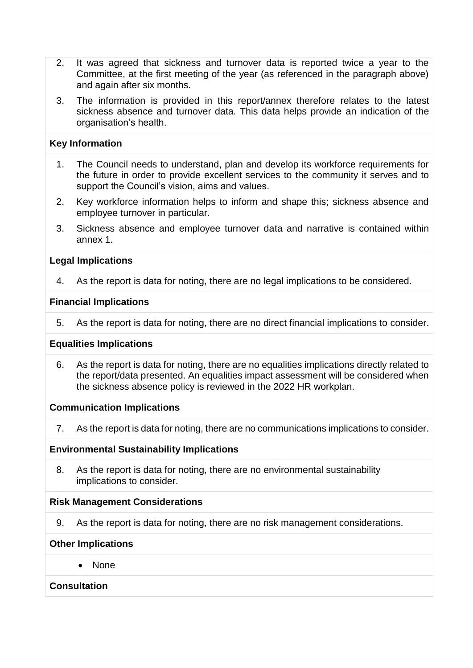- 2. It was agreed that sickness and turnover data is reported twice a year to the Committee, at the first meeting of the year (as referenced in the paragraph above) and again after six months.
- 3. The information is provided in this report/annex therefore relates to the latest sickness absence and turnover data. This data helps provide an indication of the organisation's health.

### **Key Information**

- 1. The Council needs to understand, plan and develop its workforce requirements for the future in order to provide excellent services to the community it serves and to support the Council's vision, aims and values.
- 2. Key workforce information helps to inform and shape this; sickness absence and employee turnover in particular.
- 3. Sickness absence and employee turnover data and narrative is contained within annex 1.

### **Legal Implications**

4. As the report is data for noting, there are no legal implications to be considered.

### **Financial Implications**

5. As the report is data for noting, there are no direct financial implications to consider.

### **Equalities Implications**

6. As the report is data for noting, there are no equalities implications directly related to the report/data presented. An equalities impact assessment will be considered when the sickness absence policy is reviewed in the 2022 HR workplan.

### **Communication Implications**

7. As the report is data for noting, there are no communications implications to consider.

### **Environmental Sustainability Implications**

8. As the report is data for noting, there are no environmental sustainability implications to consider.

### **Risk Management Considerations**

9. As the report is data for noting, there are no risk management considerations.

### **Other Implications**

• None

## **Consultation**